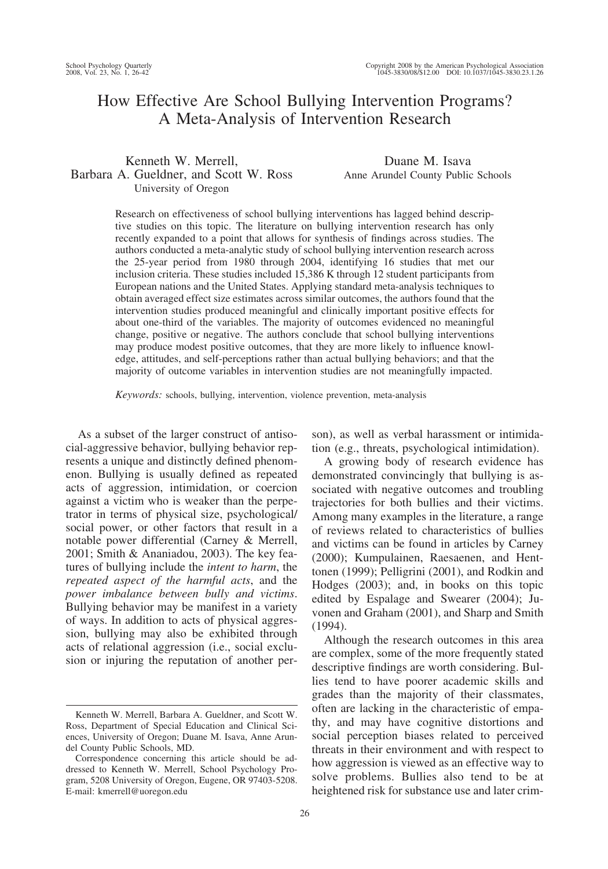# How Effective Are School Bullying Intervention Programs? A Meta-Analysis of Intervention Research

Kenneth W. Merrell, Barbara A. Gueldner, and Scott W. Ross University of Oregon

Duane M. Isava Anne Arundel County Public Schools

Research on effectiveness of school bullying interventions has lagged behind descriptive studies on this topic. The literature on bullying intervention research has only recently expanded to a point that allows for synthesis of findings across studies. The authors conducted a meta-analytic study of school bullying intervention research across the 25-year period from 1980 through 2004, identifying 16 studies that met our inclusion criteria. These studies included 15,386 K through 12 student participants from European nations and the United States. Applying standard meta-analysis techniques to obtain averaged effect size estimates across similar outcomes, the authors found that the intervention studies produced meaningful and clinically important positive effects for about one-third of the variables. The majority of outcomes evidenced no meaningful change, positive or negative. The authors conclude that school bullying interventions may produce modest positive outcomes, that they are more likely to influence knowledge, attitudes, and self-perceptions rather than actual bullying behaviors; and that the majority of outcome variables in intervention studies are not meaningfully impacted.

*Keywords:* schools, bullying, intervention, violence prevention, meta-analysis

As a subset of the larger construct of antisocial-aggressive behavior, bullying behavior represents a unique and distinctly defined phenomenon. Bullying is usually defined as repeated acts of aggression, intimidation, or coercion against a victim who is weaker than the perpetrator in terms of physical size, psychological/ social power, or other factors that result in a notable power differential (Carney & Merrell, 2001; Smith & Ananiadou, 2003). The key features of bullying include the *intent to harm*, the *repeated aspect of the harmful acts*, and the *power imbalance between bully and victims*. Bullying behavior may be manifest in a variety of ways. In addition to acts of physical aggression, bullying may also be exhibited through acts of relational aggression (i.e., social exclusion or injuring the reputation of another person), as well as verbal harassment or intimidation (e.g., threats, psychological intimidation).

A growing body of research evidence has demonstrated convincingly that bullying is associated with negative outcomes and troubling trajectories for both bullies and their victims. Among many examples in the literature, a range of reviews related to characteristics of bullies and victims can be found in articles by Carney (2000); Kumpulainen, Raesaenen, and Henttonen (1999); Pelligrini (2001), and Rodkin and Hodges (2003); and, in books on this topic edited by Espalage and Swearer (2004); Juvonen and Graham (2001), and Sharp and Smith (1994).

Although the research outcomes in this area are complex, some of the more frequently stated descriptive findings are worth considering. Bullies tend to have poorer academic skills and grades than the majority of their classmates, often are lacking in the characteristic of empathy, and may have cognitive distortions and social perception biases related to perceived threats in their environment and with respect to how aggression is viewed as an effective way to solve problems. Bullies also tend to be at heightened risk for substance use and later crim-

Kenneth W. Merrell, Barbara A. Gueldner, and Scott W. Ross, Department of Special Education and Clinical Sciences, University of Oregon; Duane M. Isava, Anne Arundel County Public Schools, MD.

Correspondence concerning this article should be addressed to Kenneth W. Merrell, School Psychology Program, 5208 University of Oregon, Eugene, OR 97403-5208. E-mail: kmerrell@uoregon.edu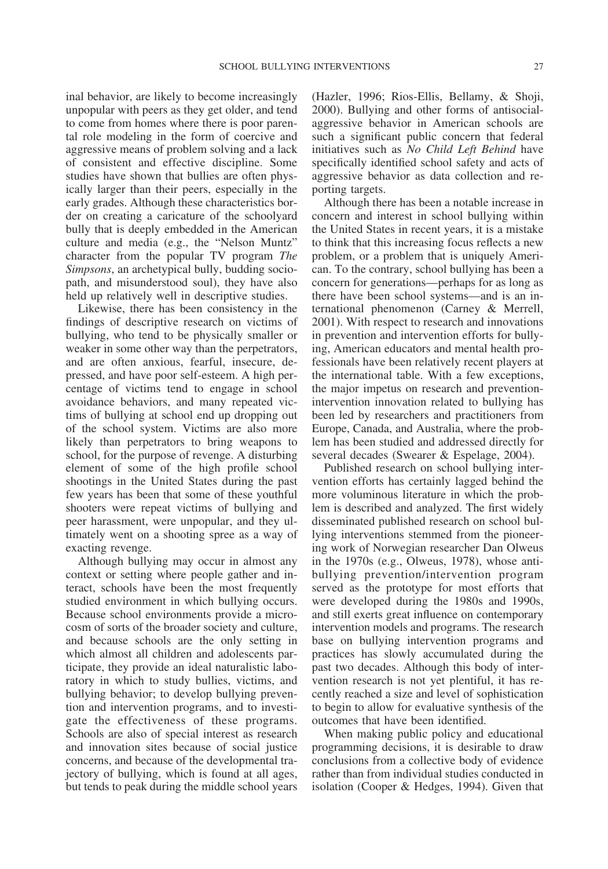inal behavior, are likely to become increasingly unpopular with peers as they get older, and tend to come from homes where there is poor parental role modeling in the form of coercive and aggressive means of problem solving and a lack of consistent and effective discipline. Some studies have shown that bullies are often physically larger than their peers, especially in the early grades. Although these characteristics border on creating a caricature of the schoolyard bully that is deeply embedded in the American culture and media (e.g., the "Nelson Muntz" character from the popular TV program *The Simpsons*, an archetypical bully, budding sociopath, and misunderstood soul), they have also held up relatively well in descriptive studies.

Likewise, there has been consistency in the findings of descriptive research on victims of bullying, who tend to be physically smaller or weaker in some other way than the perpetrators, and are often anxious, fearful, insecure, depressed, and have poor self-esteem. A high percentage of victims tend to engage in school avoidance behaviors, and many repeated victims of bullying at school end up dropping out of the school system. Victims are also more likely than perpetrators to bring weapons to school, for the purpose of revenge. A disturbing element of some of the high profile school shootings in the United States during the past few years has been that some of these youthful shooters were repeat victims of bullying and peer harassment, were unpopular, and they ultimately went on a shooting spree as a way of exacting revenge.

Although bullying may occur in almost any context or setting where people gather and interact, schools have been the most frequently studied environment in which bullying occurs. Because school environments provide a microcosm of sorts of the broader society and culture, and because schools are the only setting in which almost all children and adolescents participate, they provide an ideal naturalistic laboratory in which to study bullies, victims, and bullying behavior; to develop bullying prevention and intervention programs, and to investigate the effectiveness of these programs. Schools are also of special interest as research and innovation sites because of social justice concerns, and because of the developmental trajectory of bullying, which is found at all ages, but tends to peak during the middle school years

(Hazler, 1996; Rios-Ellis, Bellamy, & Shoji, 2000). Bullying and other forms of antisocialaggressive behavior in American schools are such a significant public concern that federal initiatives such as *No Child Left Behind* have specifically identified school safety and acts of aggressive behavior as data collection and reporting targets.

Although there has been a notable increase in concern and interest in school bullying within the United States in recent years, it is a mistake to think that this increasing focus reflects a new problem, or a problem that is uniquely American. To the contrary, school bullying has been a concern for generations—perhaps for as long as there have been school systems—and is an international phenomenon (Carney & Merrell, 2001). With respect to research and innovations in prevention and intervention efforts for bullying, American educators and mental health professionals have been relatively recent players at the international table. With a few exceptions, the major impetus on research and preventionintervention innovation related to bullying has been led by researchers and practitioners from Europe, Canada, and Australia, where the problem has been studied and addressed directly for several decades (Swearer & Espelage, 2004).

Published research on school bullying intervention efforts has certainly lagged behind the more voluminous literature in which the problem is described and analyzed. The first widely disseminated published research on school bullying interventions stemmed from the pioneering work of Norwegian researcher Dan Olweus in the 1970s (e.g., Olweus, 1978), whose antibullying prevention/intervention program served as the prototype for most efforts that were developed during the 1980s and 1990s, and still exerts great influence on contemporary intervention models and programs. The research base on bullying intervention programs and practices has slowly accumulated during the past two decades. Although this body of intervention research is not yet plentiful, it has recently reached a size and level of sophistication to begin to allow for evaluative synthesis of the outcomes that have been identified.

When making public policy and educational programming decisions, it is desirable to draw conclusions from a collective body of evidence rather than from individual studies conducted in isolation (Cooper & Hedges, 1994). Given that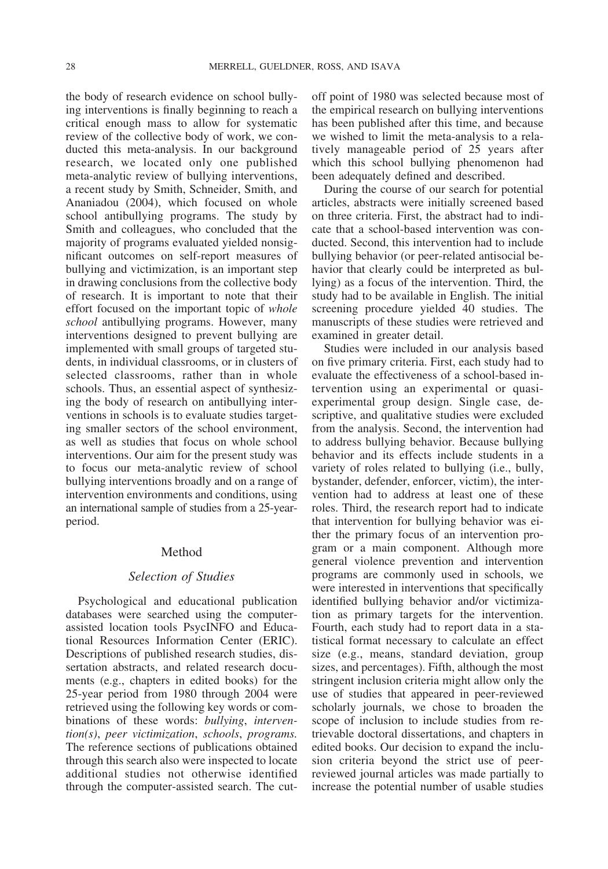the body of research evidence on school bullying interventions is finally beginning to reach a critical enough mass to allow for systematic review of the collective body of work, we conducted this meta-analysis. In our background research, we located only one published meta-analytic review of bullying interventions, a recent study by Smith, Schneider, Smith, and Ananiadou (2004), which focused on whole school antibullying programs. The study by Smith and colleagues, who concluded that the majority of programs evaluated yielded nonsignificant outcomes on self-report measures of bullying and victimization, is an important step in drawing conclusions from the collective body of research. It is important to note that their effort focused on the important topic of *whole school* antibullying programs. However, many interventions designed to prevent bullying are implemented with small groups of targeted students, in individual classrooms, or in clusters of selected classrooms, rather than in whole schools. Thus, an essential aspect of synthesizing the body of research on antibullying interventions in schools is to evaluate studies targeting smaller sectors of the school environment, as well as studies that focus on whole school interventions. Our aim for the present study was to focus our meta-analytic review of school bullying interventions broadly and on a range of intervention environments and conditions, using an international sample of studies from a 25-yearperiod.

### Method

### *Selection of Studies*

Psychological and educational publication databases were searched using the computerassisted location tools PsycINFO and Educational Resources Information Center (ERIC). Descriptions of published research studies, dissertation abstracts, and related research documents (e.g., chapters in edited books) for the 25-year period from 1980 through 2004 were retrieved using the following key words or combinations of these words: *bullying*, *intervention(s)*, *peer victimization*, *schools*, *programs.* The reference sections of publications obtained through this search also were inspected to locate additional studies not otherwise identified through the computer-assisted search. The cutoff point of 1980 was selected because most of the empirical research on bullying interventions has been published after this time, and because we wished to limit the meta-analysis to a relatively manageable period of 25 years after which this school bullying phenomenon had been adequately defined and described.

During the course of our search for potential articles, abstracts were initially screened based on three criteria. First, the abstract had to indicate that a school-based intervention was conducted. Second, this intervention had to include bullying behavior (or peer-related antisocial behavior that clearly could be interpreted as bullying) as a focus of the intervention. Third, the study had to be available in English. The initial screening procedure yielded 40 studies. The manuscripts of these studies were retrieved and examined in greater detail.

Studies were included in our analysis based on five primary criteria. First, each study had to evaluate the effectiveness of a school-based intervention using an experimental or quasiexperimental group design. Single case, descriptive, and qualitative studies were excluded from the analysis. Second, the intervention had to address bullying behavior. Because bullying behavior and its effects include students in a variety of roles related to bullying (i.e., bully, bystander, defender, enforcer, victim), the intervention had to address at least one of these roles. Third, the research report had to indicate that intervention for bullying behavior was either the primary focus of an intervention program or a main component. Although more general violence prevention and intervention programs are commonly used in schools, we were interested in interventions that specifically identified bullying behavior and/or victimization as primary targets for the intervention. Fourth, each study had to report data in a statistical format necessary to calculate an effect size (e.g., means, standard deviation, group sizes, and percentages). Fifth, although the most stringent inclusion criteria might allow only the use of studies that appeared in peer-reviewed scholarly journals, we chose to broaden the scope of inclusion to include studies from retrievable doctoral dissertations, and chapters in edited books. Our decision to expand the inclusion criteria beyond the strict use of peerreviewed journal articles was made partially to increase the potential number of usable studies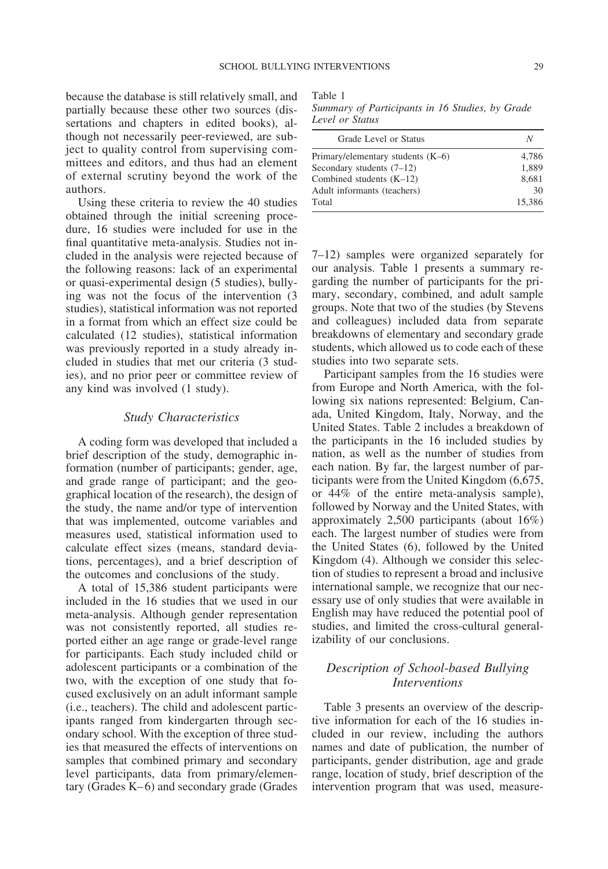because the database is still relatively small, and partially because these other two sources (dissertations and chapters in edited books), although not necessarily peer-reviewed, are subject to quality control from supervising committees and editors, and thus had an element of external scrutiny beyond the work of the authors.

Using these criteria to review the 40 studies obtained through the initial screening procedure, 16 studies were included for use in the final quantitative meta-analysis. Studies not included in the analysis were rejected because of the following reasons: lack of an experimental or quasi-experimental design (5 studies), bullying was not the focus of the intervention (3 studies), statistical information was not reported in a format from which an effect size could be calculated (12 studies), statistical information was previously reported in a study already included in studies that met our criteria (3 studies), and no prior peer or committee review of any kind was involved (1 study).

### *Study Characteristics*

A coding form was developed that included a brief description of the study, demographic information (number of participants; gender, age, and grade range of participant; and the geographical location of the research), the design of the study, the name and/or type of intervention that was implemented, outcome variables and measures used, statistical information used to calculate effect sizes (means, standard deviations, percentages), and a brief description of the outcomes and conclusions of the study.

A total of 15,386 student participants were included in the 16 studies that we used in our meta-analysis. Although gender representation was not consistently reported, all studies reported either an age range or grade-level range for participants. Each study included child or adolescent participants or a combination of the two, with the exception of one study that focused exclusively on an adult informant sample (i.e., teachers). The child and adolescent participants ranged from kindergarten through secondary school. With the exception of three studies that measured the effects of interventions on samples that combined primary and secondary level participants, data from primary/elementary (Grades K–6) and secondary grade (Grades

Table 1

*Summary of Participants in 16 Studies, by Grade Level or Status*

| Grade Level or Status               | N      |
|-------------------------------------|--------|
| Primary/elementary students $(K-6)$ | 4.786  |
| Secondary students $(7-12)$         | 1.889  |
| Combined students $(K-12)$          | 8.681  |
| Adult informants (teachers)         | 30     |
| Total                               | 15.386 |

7–12) samples were organized separately for our analysis. Table 1 presents a summary regarding the number of participants for the primary, secondary, combined, and adult sample groups. Note that two of the studies (by Stevens and colleagues) included data from separate breakdowns of elementary and secondary grade students, which allowed us to code each of these studies into two separate sets.

Participant samples from the 16 studies were from Europe and North America, with the following six nations represented: Belgium, Canada, United Kingdom, Italy, Norway, and the United States. Table 2 includes a breakdown of the participants in the 16 included studies by nation, as well as the number of studies from each nation. By far, the largest number of participants were from the United Kingdom (6,675, or 44% of the entire meta-analysis sample), followed by Norway and the United States, with approximately 2,500 participants (about 16%) each. The largest number of studies were from the United States (6), followed by the United Kingdom (4). Although we consider this selection of studies to represent a broad and inclusive international sample, we recognize that our necessary use of only studies that were available in English may have reduced the potential pool of studies, and limited the cross-cultural generalizability of our conclusions.

### *Description of School-based Bullying Interventions*

Table 3 presents an overview of the descriptive information for each of the 16 studies included in our review, including the authors names and date of publication, the number of participants, gender distribution, age and grade range, location of study, brief description of the intervention program that was used, measure-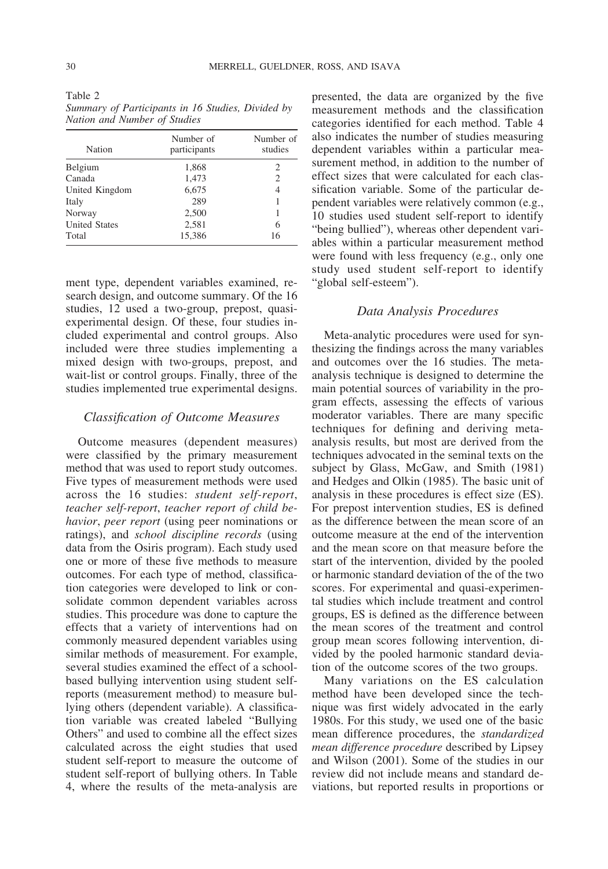Table 2 *Summary of Participants in 16 Studies, Divided by Nation and Number of Studies*

| Nation               | Number of<br>participants | Number of<br>studies |
|----------------------|---------------------------|----------------------|
| Belgium              | 1,868                     | 2                    |
| Canada               | 1,473                     | $\overline{c}$       |
| United Kingdom       | 6,675                     | 4                    |
| Italy                | 289                       |                      |
| Norway               | 2,500                     |                      |
| <b>United States</b> | 2,581                     | 6                    |
| Total                | 15,386                    | 16                   |

ment type, dependent variables examined, research design, and outcome summary. Of the 16 studies, 12 used a two-group, prepost, quasiexperimental design. Of these, four studies included experimental and control groups. Also included were three studies implementing a mixed design with two-groups, prepost, and wait-list or control groups. Finally, three of the studies implemented true experimental designs.

### *Classification of Outcome Measures*

Outcome measures (dependent measures) were classified by the primary measurement method that was used to report study outcomes. Five types of measurement methods were used across the 16 studies: *student self-report*, *teacher self-report*, *teacher report of child behavior*, *peer report* (using peer nominations or ratings), and *school discipline records* (using data from the Osiris program). Each study used one or more of these five methods to measure outcomes. For each type of method, classification categories were developed to link or consolidate common dependent variables across studies. This procedure was done to capture the effects that a variety of interventions had on commonly measured dependent variables using similar methods of measurement. For example, several studies examined the effect of a schoolbased bullying intervention using student selfreports (measurement method) to measure bullying others (dependent variable). A classification variable was created labeled "Bullying Others" and used to combine all the effect sizes calculated across the eight studies that used student self-report to measure the outcome of student self-report of bullying others. In Table 4, where the results of the meta-analysis are

presented, the data are organized by the five measurement methods and the classification categories identified for each method. Table 4 also indicates the number of studies measuring dependent variables within a particular measurement method, in addition to the number of effect sizes that were calculated for each classification variable. Some of the particular dependent variables were relatively common (e.g., 10 studies used student self-report to identify "being bullied"), whereas other dependent variables within a particular measurement method were found with less frequency (e.g., only one study used student self-report to identify "global self-esteem").

### *Data Analysis Procedures*

Meta-analytic procedures were used for synthesizing the findings across the many variables and outcomes over the 16 studies. The metaanalysis technique is designed to determine the main potential sources of variability in the program effects, assessing the effects of various moderator variables. There are many specific techniques for defining and deriving metaanalysis results, but most are derived from the techniques advocated in the seminal texts on the subject by Glass, McGaw, and Smith (1981) and Hedges and Olkin (1985). The basic unit of analysis in these procedures is effect size (ES). For prepost intervention studies, ES is defined as the difference between the mean score of an outcome measure at the end of the intervention and the mean score on that measure before the start of the intervention, divided by the pooled or harmonic standard deviation of the of the two scores. For experimental and quasi-experimental studies which include treatment and control groups, ES is defined as the difference between the mean scores of the treatment and control group mean scores following intervention, divided by the pooled harmonic standard deviation of the outcome scores of the two groups.

Many variations on the ES calculation method have been developed since the technique was first widely advocated in the early 1980s. For this study, we used one of the basic mean difference procedures, the *standardized mean difference procedure* described by Lipsey and Wilson (2001). Some of the studies in our review did not include means and standard deviations, but reported results in proportions or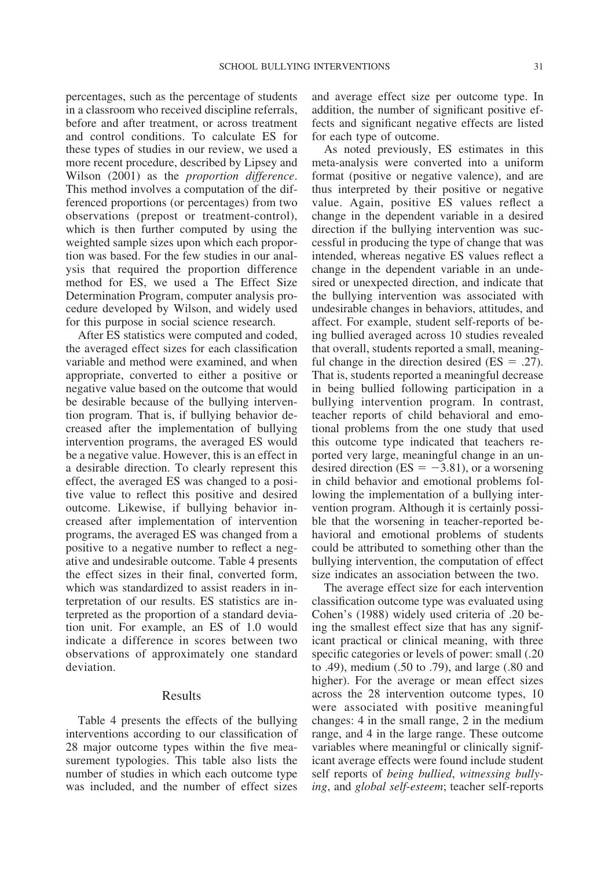percentages, such as the percentage of students in a classroom who received discipline referrals, before and after treatment, or across treatment and control conditions. To calculate ES for these types of studies in our review, we used a more recent procedure, described by Lipsey and Wilson (2001) as the *proportion difference*. This method involves a computation of the differenced proportions (or percentages) from two observations (prepost or treatment-control), which is then further computed by using the weighted sample sizes upon which each proportion was based. For the few studies in our analysis that required the proportion difference method for ES, we used a The Effect Size Determination Program, computer analysis procedure developed by Wilson, and widely used for this purpose in social science research.

After ES statistics were computed and coded, the averaged effect sizes for each classification variable and method were examined, and when appropriate, converted to either a positive or negative value based on the outcome that would be desirable because of the bullying intervention program. That is, if bullying behavior decreased after the implementation of bullying intervention programs, the averaged ES would be a negative value. However, this is an effect in a desirable direction. To clearly represent this effect, the averaged ES was changed to a positive value to reflect this positive and desired outcome. Likewise, if bullying behavior increased after implementation of intervention programs, the averaged ES was changed from a positive to a negative number to reflect a negative and undesirable outcome. Table 4 presents the effect sizes in their final, converted form, which was standardized to assist readers in interpretation of our results. ES statistics are interpreted as the proportion of a standard deviation unit. For example, an ES of 1.0 would indicate a difference in scores between two observations of approximately one standard deviation.

### Results

Table 4 presents the effects of the bullying interventions according to our classification of 28 major outcome types within the five measurement typologies. This table also lists the number of studies in which each outcome type was included, and the number of effect sizes

and average effect size per outcome type. In addition, the number of significant positive effects and significant negative effects are listed for each type of outcome.

As noted previously, ES estimates in this meta-analysis were converted into a uniform format (positive or negative valence), and are thus interpreted by their positive or negative value. Again, positive ES values reflect a change in the dependent variable in a desired direction if the bullying intervention was successful in producing the type of change that was intended, whereas negative ES values reflect a change in the dependent variable in an undesired or unexpected direction, and indicate that the bullying intervention was associated with undesirable changes in behaviors, attitudes, and affect. For example, student self-reports of being bullied averaged across 10 studies revealed that overall, students reported a small, meaningful change in the direction desired  $(ES = .27)$ . That is, students reported a meaningful decrease in being bullied following participation in a bullying intervention program. In contrast, teacher reports of child behavioral and emotional problems from the one study that used this outcome type indicated that teachers reported very large, meaningful change in an undesired direction ( $ES = -3.81$ ), or a worsening in child behavior and emotional problems following the implementation of a bullying intervention program. Although it is certainly possible that the worsening in teacher-reported behavioral and emotional problems of students could be attributed to something other than the bullying intervention, the computation of effect size indicates an association between the two.

The average effect size for each intervention classification outcome type was evaluated using Cohen's (1988) widely used criteria of .20 being the smallest effect size that has any significant practical or clinical meaning, with three specific categories or levels of power: small (.20 to .49), medium (.50 to .79), and large (.80 and higher). For the average or mean effect sizes across the 28 intervention outcome types, 10 were associated with positive meaningful changes: 4 in the small range, 2 in the medium range, and 4 in the large range. These outcome variables where meaningful or clinically significant average effects were found include student self reports of *being bullied*, *witnessing bullying*, and *global self-esteem*; teacher self-reports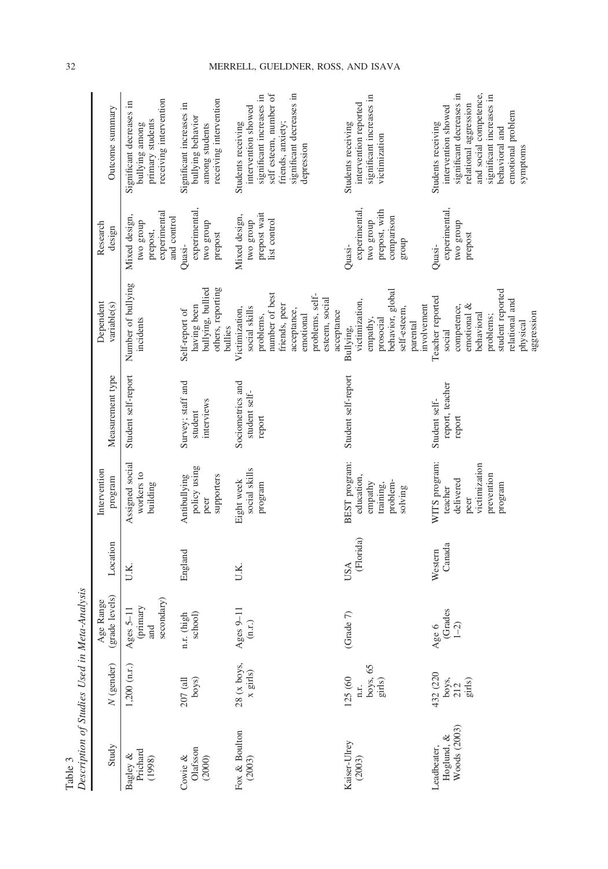| Description of Studies Used in Meta-Analysis<br>Table 3 |                                          |                                              |                   |                                                                                         |                                             |                                                                                                                                                                |                                                                                    |                                                                                                                                                                                                         |
|---------------------------------------------------------|------------------------------------------|----------------------------------------------|-------------------|-----------------------------------------------------------------------------------------|---------------------------------------------|----------------------------------------------------------------------------------------------------------------------------------------------------------------|------------------------------------------------------------------------------------|---------------------------------------------------------------------------------------------------------------------------------------------------------------------------------------------------------|
| Study                                                   | N (gender)                               | (grade levels)<br>Age Range                  | Location          | Intervention<br>program                                                                 | Measurement type                            | Dependent<br>variable(s)                                                                                                                                       | Research<br>design                                                                 | Outcome summary                                                                                                                                                                                         |
| Bagley $\&$ Prichard<br>(1998)                          | $1,200$ (n.r.)                           | secondary)<br>Ages $5-11$<br>(primary<br>and | U.K.              | Assigned social<br>workers to<br>building                                               | Student self-report                         | Number of bullying<br>incidents                                                                                                                                | experimental<br>Mixed design,<br>and control<br>dnora <sup>o</sup> owi<br>prepost, | receiving intervention<br>Significant decreases in<br>primary students<br>bullying among                                                                                                                |
| Olafsson<br>Cowie &<br>(2000)                           | boys)<br>207 (all                        | school)<br>n.r. (high                        | England           | policy using<br>Antibullying<br>supporters<br>peer                                      | Survey; staff and<br>interviews<br>student  | bullying, bullied<br>others, reporting<br>having been<br>Self-report of<br>bullies                                                                             | experimental,<br>two group<br>prepost<br>Quasi-                                    | receiving intervention<br>Significant increases in<br>bullying behavior<br>among students                                                                                                               |
| Fox & Boulton<br>(2003)                                 | $28$ (x boys,<br>$x$ girls)              | Ages $9-11$<br>(n.r.)                        | U.K.              | social skills<br>Eight week<br>program                                                  | Sociometrics and<br>student self-<br>report | number of best<br>problems, self-<br>esteem, social<br>friends, peer<br>social skills<br>Victimization,<br>acceptance,<br>acceptance<br>emotional<br>problems, | prepost wait<br>Mixed design,<br>list control<br>two group                         | significant decreases in<br>self esteem, number of<br>significant increases in<br>intervention showed<br>friends, anxiety;<br>Students receiving<br>depression                                          |
| Kaiser-Ulrey<br>(2003)                                  | boys, 65<br>girls)<br>125 (60<br>n.r.    | (Grade 7)                                    | (Florida)<br>USA  | BEST program:<br>education,<br>problem-<br>empathy<br>training,<br>solving              | Student self-report                         | behavior, global<br>victimization,<br>involvement<br>self-esteem,<br>empathy,<br>prosocial<br>parental<br>Bullying,                                            | experimental,<br>prepost, with<br>comparison<br>two group<br>group<br>Quasi-       | significant increases in<br>intervention reported<br>Students receiving<br>victimization                                                                                                                |
| Hoglund, $&$ Woods (2003)<br>Leadbeater,                | 432 (220<br>$\frac{boys}{212}$<br>girls) | Age 6<br>(Grades<br>$1-2$ )<br>$\circ$       | Canada<br>Western | WITS program:<br>victimization<br>prevention<br>delivered<br>program<br>teacher<br>peer | report, teacher<br>Student self-<br>report  | student reported<br>Teacher reported<br>relational and<br>competence,<br>emotional &<br>aggression<br>behavioral<br>problems;<br>physical<br>social            | experimental,<br>dno.18 owi<br>prepost<br>Quasi-                                   | significant decreases in<br>and social competence,<br>significant increases in<br>relational aggression<br>intervention showed<br>emotional problem<br>Students receiving<br>behavioral and<br>symptoms |

### 32 MERRELL, GUELDNER, ROSS, AND ISAVA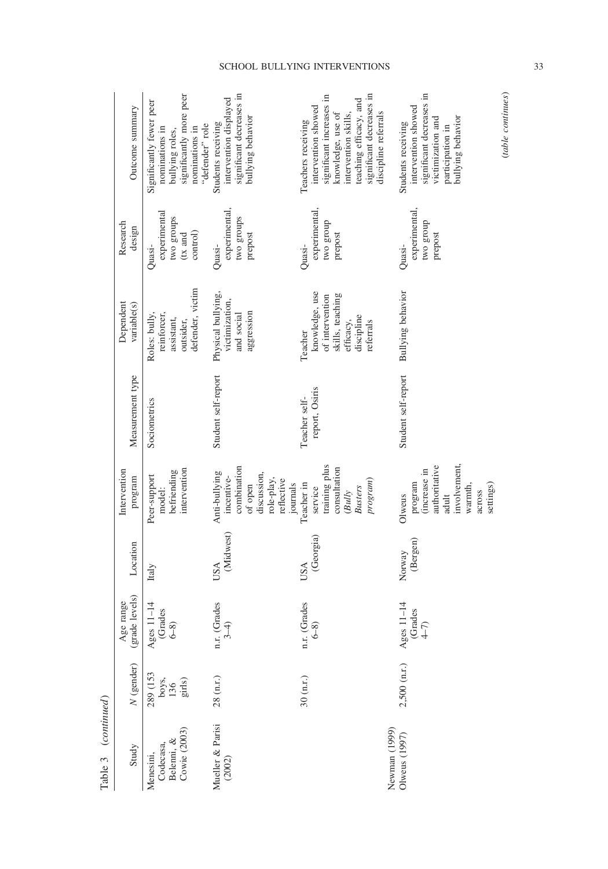| (continued)<br>Table 3                               |                                    |                                  |                    |                                                                                                               |                                 |                                                                                                          |                                                                        |                                                                                                                                                                                                  |
|------------------------------------------------------|------------------------------------|----------------------------------|--------------------|---------------------------------------------------------------------------------------------------------------|---------------------------------|----------------------------------------------------------------------------------------------------------|------------------------------------------------------------------------|--------------------------------------------------------------------------------------------------------------------------------------------------------------------------------------------------|
| Study                                                | N (gender)                         | (grade levels)<br>Age range      | Location           | Intervention<br>program                                                                                       | Measurement type                | Dependent<br>variable(s)                                                                                 | Research<br>design                                                     | Outcome summary                                                                                                                                                                                  |
| Cowie (2003)<br>Belenni, &<br>Codecasa,<br>Menesini, | 289 (153<br>boys,<br>136<br>girls) | Ages $11-14$<br>(Grades<br>6-8)  | Italy              | intervention<br>befriending<br>Peer-support<br>model:                                                         | Sociometrics                    | defender, victim<br>Roles: bully,<br>reinforcer,<br>assistant,<br>outsider,                              | experimental<br>two groups<br>control)<br>$(\mathrm{tx}$ and<br>Quasi- | significantly more peer<br>Significantly fewer peer<br>"defender" role<br>nominations in<br>nominations in<br>bullying roles,                                                                    |
| Mueller & Parisi<br>$(2002)$                         | 28 (n.r.)                          | Grades<br>n.r. (Gre $3-4$ )      | (Midwest)<br>USA   | combination<br>Anti-bullying<br>discussion,<br>incentive-<br>role-play,<br>reflective<br>journals<br>of open  | Student self-report             | Physical bullying,<br>victimization,<br>aggression<br>and social                                         | experimental,<br>two groups<br>prepost<br>Quasi-                       | significant decreases in<br>intervention displayed<br>bullying behavior<br>Students receiving                                                                                                    |
|                                                      | 30 (n.r.)                          | n.r. (Grades<br>$6 - 8$          | (Georgia)<br>USA   | training plus<br>consultation<br>program)<br>Teacher in<br><b>Busters</b><br>service<br>$\left( Bul \right)$  | report, Osiris<br>Teacher self- | knowledge, use<br>skills, teaching<br>of intervention<br>discipline<br>efficacy,<br>referrals<br>Teacher | experimental,<br>dno.18 ow.<br>prepost<br>Quasi-                       | significant decreases in<br>significant increases in<br>teaching efficacy, and<br>intervention showed<br>discipline referrals<br>intervention skills,<br>knowledge, use of<br>Teachers receiving |
| Newman (1999)<br>Olweus (1997)                       | $2,500$ (n.r.)                     | Ages 11-14<br>(Grades<br>$4-7$ ) | (Bergen)<br>Norway | involvement,<br>authoritative<br>(increase in<br>program<br>settings)<br>warnth,<br>across<br>adult<br>Olweus | Student self-report             | Bullying behavior                                                                                        | experimental,<br>dnora <sup>o</sup> own<br>prepost<br>Quasi-           | significant decreases in<br>intervention showed<br>bullying behavior<br>victimization and<br>Students receiving<br>participation in                                                              |

## SCHOOL BULLYING INTERVENTIONS 33

(*table continues*)

 $\left( table\ \, continuous\right)$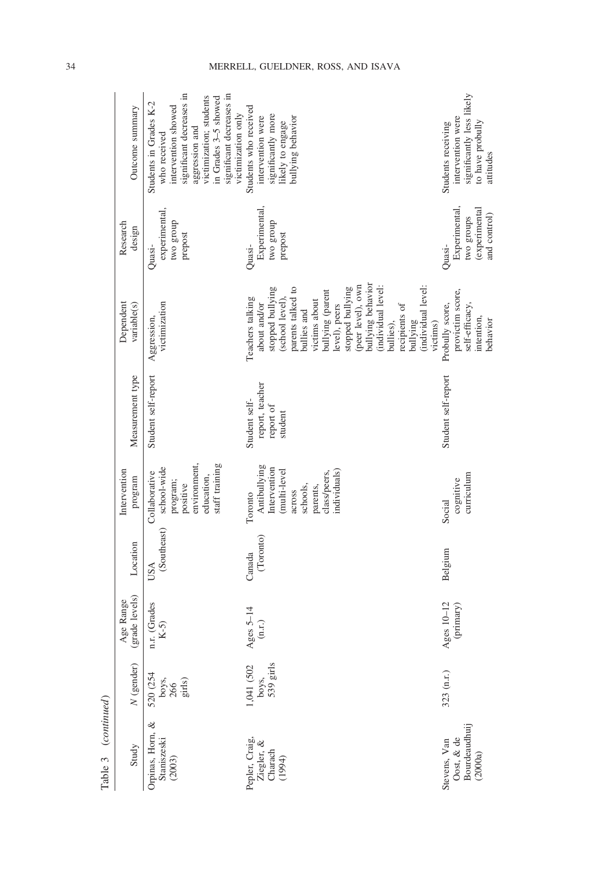| Outcome summary<br>Research<br>design | significant decreases in<br>significant decreases in<br>in Grades 3-5 showed<br>victimization; students<br>Students in Grades K-2<br>intervention showed<br>victimization only<br>aggression and<br>who received<br>experimental,<br>two group<br>prepost<br>Quasi- | Students who received<br>significantly more<br>intervention were<br>bullying behavior<br>likely to engage<br>Experimental,<br>dno.18 om<br>prepost<br>Quasi-                                                                                                       |                                                 |          | Quasi-              | Students receiving | intervention were<br>Experimental, | significantly less likely<br>two groups | to have probully<br>attitudes<br>(experimental<br>and control) |
|---------------------------------------|---------------------------------------------------------------------------------------------------------------------------------------------------------------------------------------------------------------------------------------------------------------------|--------------------------------------------------------------------------------------------------------------------------------------------------------------------------------------------------------------------------------------------------------------------|-------------------------------------------------|----------|---------------------|--------------------|------------------------------------|-----------------------------------------|----------------------------------------------------------------|
| Dependent<br>variable(s)              | victimization<br>Aggression,                                                                                                                                                                                                                                        | bullying behavior<br>(peer level), own<br>(individual level:<br>stopped bullying<br>parents talked to<br>stopped bullying<br>bullying (parent<br>Teachers talking<br>(school level),<br>victims about<br>about and/or<br>level), peers<br>bullies and<br>bullies), | (individual level:<br>recipients of<br>bullying | victims) | Probully score,     |                    | provictim score,                   | self-efficacy,                          | intention,<br>behavior                                         |
| Measurement type                      | Student self-report                                                                                                                                                                                                                                                 | report, teacher<br>Student self-<br>report of<br>student                                                                                                                                                                                                           |                                                 |          | Student self-report |                    |                                    |                                         |                                                                |
| Intervention<br>program               | environment,<br>staff training<br>school-wide<br>Collaborative<br>education,<br>program;<br>positive                                                                                                                                                                | Antibullying<br>Intervention<br>(multi-level<br>individuals)<br>class/peers,<br>schools,<br>parents,<br>across<br>Toronto                                                                                                                                          |                                                 |          | Social              |                    | cognitive                          | curriculum                              |                                                                |
| Location                              | (Southeast)<br>USA                                                                                                                                                                                                                                                  | (Toronto)<br>Canada                                                                                                                                                                                                                                                |                                                 |          | Belgium             |                    |                                    |                                         |                                                                |
| (grade levels)<br>Age Range           | n.r. (Grades<br>$K-5$ )                                                                                                                                                                                                                                             | Ages $5-14$<br>(n.r.)                                                                                                                                                                                                                                              |                                                 |          |                     |                    | Ages 10-12<br>(primary)            |                                         |                                                                |
| $N$ (gender)                          | 520 (254<br>$\frac{\text{boys}}{266}$<br>girls)                                                                                                                                                                                                                     | boys,<br>539 girls<br>1,041 (502)                                                                                                                                                                                                                                  |                                                 |          | 323 (n.r.)          |                    |                                    |                                         |                                                                |
| Study                                 | Orpinas, Horn, &<br>Staniszeski<br>(2003)                                                                                                                                                                                                                           | Pepler, Craig,<br>Ziegler, &<br>Charach<br>(1994)                                                                                                                                                                                                                  |                                                 |          | Stevens, Van        |                    |                                    |                                         | Oost, & de<br>Bourdeaudhuij<br>(2000a)                         |

Table 3 (continued)

### 34 MERRELL, GUELDNER, ROSS, AND ISAVA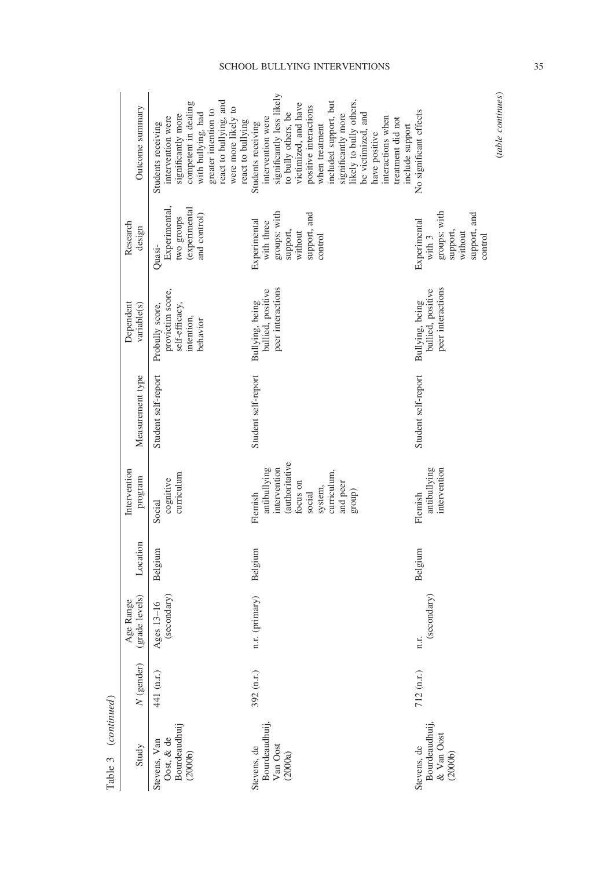| Outcome summary             | react to bullying, and<br>competent in dealing<br>were more likely to<br>greater intention to<br>with bullying, had<br>significantly more<br>intervention were<br>react to bullying<br>Students receiving | significantly less likely<br>included support, but<br>likely to bully others,<br>victimized, and have<br>positive interactions<br>to bully others, be<br>be victimized, and<br>significantly more<br>intervention were<br>interactions when<br>treatment did not<br>Students receiving<br>when treatment<br>include support<br>have positive | No significant effects                                                                              | (table continues) |
|-----------------------------|-----------------------------------------------------------------------------------------------------------------------------------------------------------------------------------------------------------|----------------------------------------------------------------------------------------------------------------------------------------------------------------------------------------------------------------------------------------------------------------------------------------------------------------------------------------------|-----------------------------------------------------------------------------------------------------|-------------------|
| Research<br>design          | Experimental,<br>(experimental<br>and control)<br>two groups<br>Quasi-                                                                                                                                    | groups: with<br>support,<br>support, and<br>Experimental<br>with three<br>without<br>control                                                                                                                                                                                                                                                 | groups: with<br>support, and<br>Experimental<br>support,<br>without<br>$\mbox{control}$<br>with 3   |                   |
| Dependent<br>variable(s)    | provictim score,<br>Probully score,<br>self-efficacy,<br>intention,<br>behavior                                                                                                                           | peer interactions<br>bullied, positive<br>Bullying, being                                                                                                                                                                                                                                                                                    | peer interactions<br>Bullying, being<br>bullied, positive                                           |                   |
| Measurement type            | Student self-report                                                                                                                                                                                       | Student self-report                                                                                                                                                                                                                                                                                                                          | Student self-report                                                                                 |                   |
| Intervention<br>program     | curriculum<br>cognitive<br>Social                                                                                                                                                                         | (authoritative<br>intervention<br>antibullying<br>curriculum,<br>focus on<br>and peer<br>system,<br>group)<br>social<br>Flemish                                                                                                                                                                                                              | antibullying<br>intervention<br>Flemish                                                             |                   |
| Location                    | Belgium                                                                                                                                                                                                   | Belgium                                                                                                                                                                                                                                                                                                                                      | Belgium                                                                                             |                   |
| Age Range<br>(grade levels) | Ages $13-16$<br>(secondary)                                                                                                                                                                               | (primary)<br>n.r.                                                                                                                                                                                                                                                                                                                            | (secondary)<br>n.r.                                                                                 |                   |
| $N$ (gender)                | 441 (n.r.)                                                                                                                                                                                                | 392 (n.r.)                                                                                                                                                                                                                                                                                                                                   | 712 (n.r.)                                                                                          |                   |
| Study                       | Stevens, Van<br>Oost, & de<br>Bourdeaudhuij<br>(2000b)                                                                                                                                                    | Bourdeaudhuij,<br>Stevens, de<br>$V$ an Oost<br>(2000a)                                                                                                                                                                                                                                                                                      | Bourdeaudhuij,<br>$\begin{array}{l} \text{\& Van Oost}\\ \text{(2000b)} \end{array}$<br>Stevens, de |                   |

Table 3 (continued)

### SCHOOL BULLYING INTERVENTIONS 35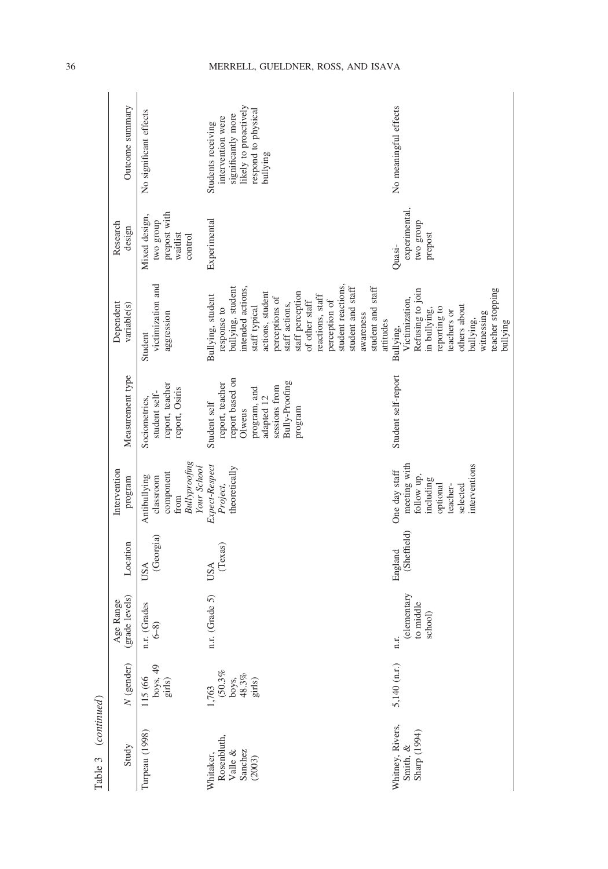| $\label{eq:constrained} (continued)$<br>Table 3          |                                                |                                             |                        |                                                                                                               |                                                                                                                                          |                                                                                                                                                                                                                                                                                                                          |                                                                   |                                                                                                                           |
|----------------------------------------------------------|------------------------------------------------|---------------------------------------------|------------------------|---------------------------------------------------------------------------------------------------------------|------------------------------------------------------------------------------------------------------------------------------------------|--------------------------------------------------------------------------------------------------------------------------------------------------------------------------------------------------------------------------------------------------------------------------------------------------------------------------|-------------------------------------------------------------------|---------------------------------------------------------------------------------------------------------------------------|
| Study                                                    | $N$ (gender)                                   | Age Range<br>(grade levels)                 | Location               | Intervention<br>program                                                                                       | Measurement type                                                                                                                         | Dependent<br>variable(s)                                                                                                                                                                                                                                                                                                 | Research<br>design                                                | Outcome summary                                                                                                           |
| Turpeau (1998)                                           | 115 (66 boys, 49 $_{\text{grils}}$ )           | (Grades<br>$6 - 8$<br>n.r.                  | (Georgia)<br>USA       | Bullyproofing<br>Your School<br>component<br>Antibullying<br>classroom<br>from                                | report, teacher<br>report, Osiris<br>student self-<br>Sociometrics,                                                                      | victimization and<br>aggression<br>Student                                                                                                                                                                                                                                                                               | prepost with<br>Mixed design,<br>two group<br>waitlist<br>control | No significant effects                                                                                                    |
| Rosenbluth,<br>Valle &<br>Sanchez<br>(2003)<br>Whitaker, | $(50.3\%$<br>boys,<br>48.3%<br>girls)<br>1,763 | (Grade 5)<br>n.r.                           | (Texas)<br>USA         | Expect-Respect<br>theoretically<br>Project,                                                                   | report based on<br>Bully-Proofing<br>report, teacher<br>sessions from<br>program, and<br>adapted 12<br>Student self<br>program<br>Olweus | student reactions,<br>bullying, student<br>intended actions,<br>student and staff<br>student and staff<br>actions, student<br>staff perception<br>Bullying, student<br>reactions, staff<br>perceptions of<br>of other staff<br>perception of<br>staff actions,<br>response to<br>staff typical<br>awareness<br>attitudes | Experimental                                                      | likely to proactively<br>respond to physical<br>significantly more<br>intervention were<br>Students receiving<br>bullying |
| Whitney, Rivers,<br>Smith, $\&$<br>Sharp (1994)          | 5,140 (n.r.)                                   | (elementary<br>to middle<br>school)<br>n.r. | (Sheffield)<br>England | meeting with<br>interventions<br>One day staff<br>follow up,<br>including<br>optional<br>teacher-<br>selected | Student self-report                                                                                                                      | teacher stopping<br>Refusing to join<br>Victimization,<br>others about<br>in bullying,<br>reporting to<br>teachers or<br>witnessing<br>bullying,<br>bullying<br>Bullying,                                                                                                                                                | experimental,<br>dnora om<br>prepost<br>Quasi-                    | No meaningful effects                                                                                                     |

#### 36 MERRELL, GUELDNER, ROSS, AND ISAVA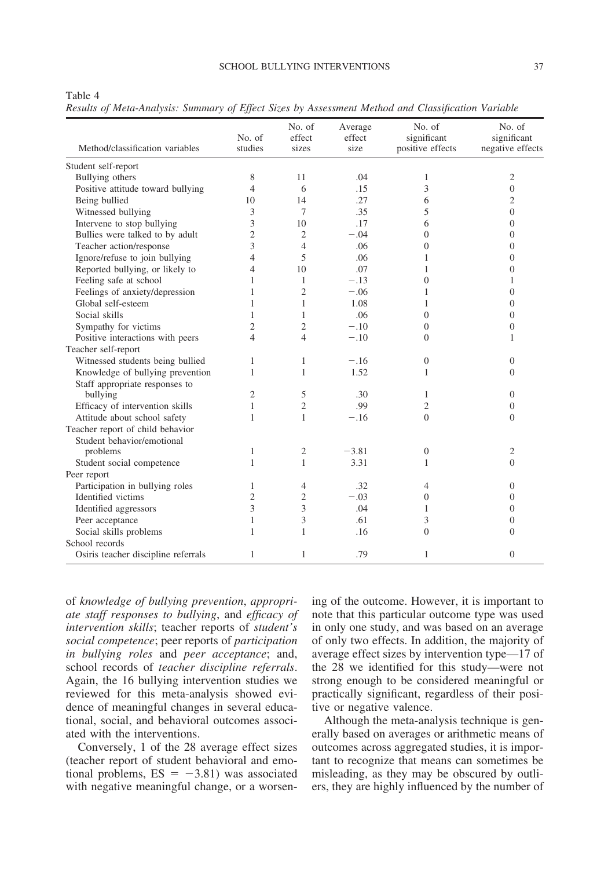#### Table 4

*Results of Meta-Analysis: Summary of Effect Sizes by Assessment Method and Classification Variable*

| Method/classification variables     | No. of<br>studies | No. of<br>effect<br>sizes | Average<br>effect<br>size | No. of<br>significant<br>positive effects | No. of<br>significant<br>negative effects |
|-------------------------------------|-------------------|---------------------------|---------------------------|-------------------------------------------|-------------------------------------------|
| Student self-report                 |                   |                           |                           |                                           |                                           |
| Bullying others                     | 8                 | 11                        | .04                       | 1                                         | 2                                         |
| Positive attitude toward bullying   | 4                 | 6                         | .15                       | 3                                         | $\overline{0}$                            |
| Being bullied                       | 10                | 14                        | .27                       | 6                                         | $\overline{2}$                            |
| Witnessed bullying                  | 3                 | 7                         | .35                       | 5                                         | $\overline{0}$                            |
| Intervene to stop bullying          | 3                 | 10                        | .17                       | 6                                         | $\mathbf{0}$                              |
| Bullies were talked to by adult     | 2                 | $\mathfrak{2}$            | $-.04$                    | $\theta$                                  | $\mathbf{0}$                              |
| Teacher action/response             | 3                 | $\overline{4}$            | .06                       | $\overline{0}$                            | $\mathbf{0}$                              |
| Ignore/refuse to join bullying      | 4                 | 5                         | .06                       | 1                                         | $\Omega$                                  |
| Reported bullying, or likely to     | 4                 | 10                        | .07                       | 1                                         | $\overline{0}$                            |
| Feeling safe at school              | 1                 | 1                         | $-.13$                    | $\Omega$                                  | 1                                         |
| Feelings of anxiety/depression      | 1                 | $\overline{2}$            | $-.06$                    | 1                                         | $\Omega$                                  |
| Global self-esteem                  | 1                 | 1                         | 1.08                      | 1                                         | $\Omega$                                  |
| Social skills                       | 1                 | 1                         | .06                       | $\Omega$                                  | $\Omega$                                  |
| Sympathy for victims                | $\overline{c}$    | $\overline{c}$            | $-.10$                    | $\theta$                                  | $\overline{0}$                            |
| Positive interactions with peers    | 4                 | $\overline{\mathcal{L}}$  | $-.10$                    | $\theta$                                  | 1                                         |
| Teacher self-report                 |                   |                           |                           |                                           |                                           |
| Witnessed students being bullied    | 1                 | 1                         | $-.16$                    | $\boldsymbol{0}$                          | $\overline{0}$                            |
| Knowledge of bullying prevention    | 1                 | 1                         | 1.52                      | 1                                         | $\overline{0}$                            |
| Staff appropriate responses to      |                   |                           |                           |                                           |                                           |
| bullying                            | 2                 | 5                         | .30                       | 1                                         | $\theta$                                  |
| Efficacy of intervention skills     | 1                 | $\overline{2}$            | .99                       | 2                                         | $\overline{0}$                            |
| Attitude about school safety        | 1                 | 1                         | $-.16$                    | $\theta$                                  | $\Omega$                                  |
| Teacher report of child behavior    |                   |                           |                           |                                           |                                           |
| Student behavior/emotional          |                   |                           |                           |                                           |                                           |
| problems                            | 1                 | $\mathfrak{2}$            | $-3.81$                   | $\boldsymbol{0}$                          | $\mathfrak{2}$                            |
| Student social competence           | 1                 | 1                         | 3.31                      | 1                                         | $\Omega$                                  |
| Peer report                         |                   |                           |                           |                                           |                                           |
| Participation in bullying roles     | 1                 | 4                         | .32                       | 4                                         | $\overline{0}$                            |
| Identified victims                  | $\overline{c}$    | $\mathfrak{2}$            | $-.03$                    | $\overline{0}$                            | $\overline{0}$                            |
| Identified aggressors               | 3                 | 3                         | .04                       | 1                                         | $\overline{0}$                            |
| Peer acceptance                     | 1                 | 3                         | .61                       | 3                                         | $\overline{0}$                            |
| Social skills problems              | 1                 | 1                         | .16                       | $\overline{0}$                            | $\overline{0}$                            |
| School records                      |                   |                           |                           |                                           |                                           |
| Osiris teacher discipline referrals | 1                 | 1                         | .79                       | 1                                         | $\overline{0}$                            |

of *knowledge of bullying prevention*, *appropriate staff responses to bullying*, and *efficacy of intervention skills*; teacher reports of *student's social competence*; peer reports of *participation in bullying roles* and *peer acceptance*; and, school records of *teacher discipline referrals*. Again, the 16 bullying intervention studies we reviewed for this meta-analysis showed evidence of meaningful changes in several educational, social, and behavioral outcomes associated with the interventions.

Conversely, 1 of the 28 average effect sizes (teacher report of student behavioral and emotional problems,  $ES = -3.81$ ) was associated with negative meaningful change, or a worsening of the outcome. However, it is important to note that this particular outcome type was used in only one study, and was based on an average of only two effects. In addition, the majority of average effect sizes by intervention type—17 of the 28 we identified for this study—were not strong enough to be considered meaningful or practically significant, regardless of their positive or negative valence.

Although the meta-analysis technique is generally based on averages or arithmetic means of outcomes across aggregated studies, it is important to recognize that means can sometimes be misleading, as they may be obscured by outliers, they are highly influenced by the number of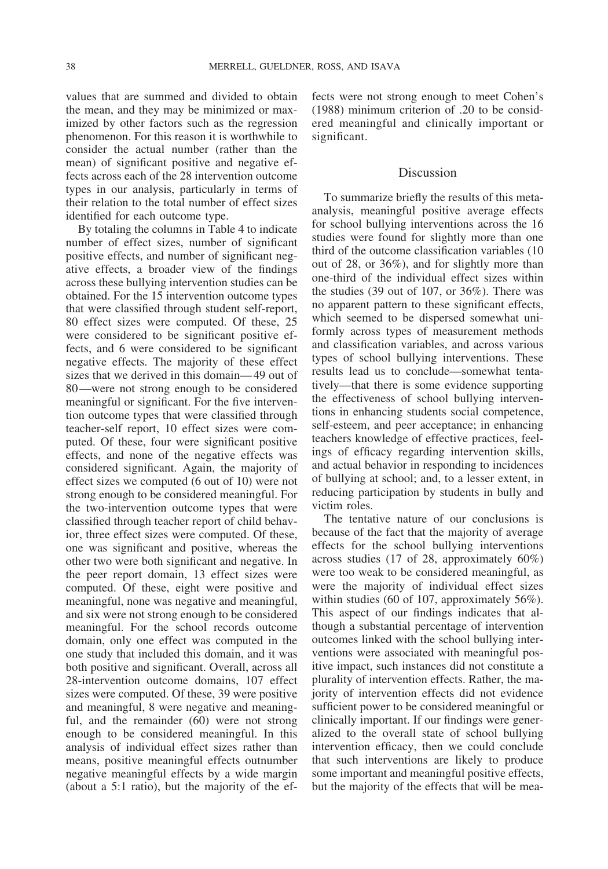values that are summed and divided to obtain the mean, and they may be minimized or maximized by other factors such as the regression phenomenon. For this reason it is worthwhile to consider the actual number (rather than the mean) of significant positive and negative effects across each of the 28 intervention outcome types in our analysis, particularly in terms of their relation to the total number of effect sizes identified for each outcome type.

By totaling the columns in Table 4 to indicate number of effect sizes, number of significant positive effects, and number of significant negative effects, a broader view of the findings across these bullying intervention studies can be obtained. For the 15 intervention outcome types that were classified through student self-report, 80 effect sizes were computed. Of these, 25 were considered to be significant positive effects, and 6 were considered to be significant negative effects. The majority of these effect sizes that we derived in this domain— 49 out of 80—were not strong enough to be considered meaningful or significant. For the five intervention outcome types that were classified through teacher-self report, 10 effect sizes were computed. Of these, four were significant positive effects, and none of the negative effects was considered significant. Again, the majority of effect sizes we computed (6 out of 10) were not strong enough to be considered meaningful. For the two-intervention outcome types that were classified through teacher report of child behavior, three effect sizes were computed. Of these, one was significant and positive, whereas the other two were both significant and negative. In the peer report domain, 13 effect sizes were computed. Of these, eight were positive and meaningful, none was negative and meaningful, and six were not strong enough to be considered meaningful. For the school records outcome domain, only one effect was computed in the one study that included this domain, and it was both positive and significant. Overall, across all 28-intervention outcome domains, 107 effect sizes were computed. Of these, 39 were positive and meaningful, 8 were negative and meaningful, and the remainder (60) were not strong enough to be considered meaningful. In this analysis of individual effect sizes rather than means, positive meaningful effects outnumber negative meaningful effects by a wide margin (about a 5:1 ratio), but the majority of the effects were not strong enough to meet Cohen's (1988) minimum criterion of .20 to be considered meaningful and clinically important or significant.

### Discussion

To summarize briefly the results of this metaanalysis, meaningful positive average effects for school bullying interventions across the 16 studies were found for slightly more than one third of the outcome classification variables (10 out of 28, or 36%), and for slightly more than one-third of the individual effect sizes within the studies (39 out of 107, or 36%). There was no apparent pattern to these significant effects, which seemed to be dispersed somewhat uniformly across types of measurement methods and classification variables, and across various types of school bullying interventions. These results lead us to conclude—somewhat tentatively—that there is some evidence supporting the effectiveness of school bullying interventions in enhancing students social competence, self-esteem, and peer acceptance; in enhancing teachers knowledge of effective practices, feelings of efficacy regarding intervention skills, and actual behavior in responding to incidences of bullying at school; and, to a lesser extent, in reducing participation by students in bully and victim roles.

The tentative nature of our conclusions is because of the fact that the majority of average effects for the school bullying interventions across studies (17 of 28, approximately 60%) were too weak to be considered meaningful, as were the majority of individual effect sizes within studies (60 of 107, approximately 56%). This aspect of our findings indicates that although a substantial percentage of intervention outcomes linked with the school bullying interventions were associated with meaningful positive impact, such instances did not constitute a plurality of intervention effects. Rather, the majority of intervention effects did not evidence sufficient power to be considered meaningful or clinically important. If our findings were generalized to the overall state of school bullying intervention efficacy, then we could conclude that such interventions are likely to produce some important and meaningful positive effects, but the majority of the effects that will be mea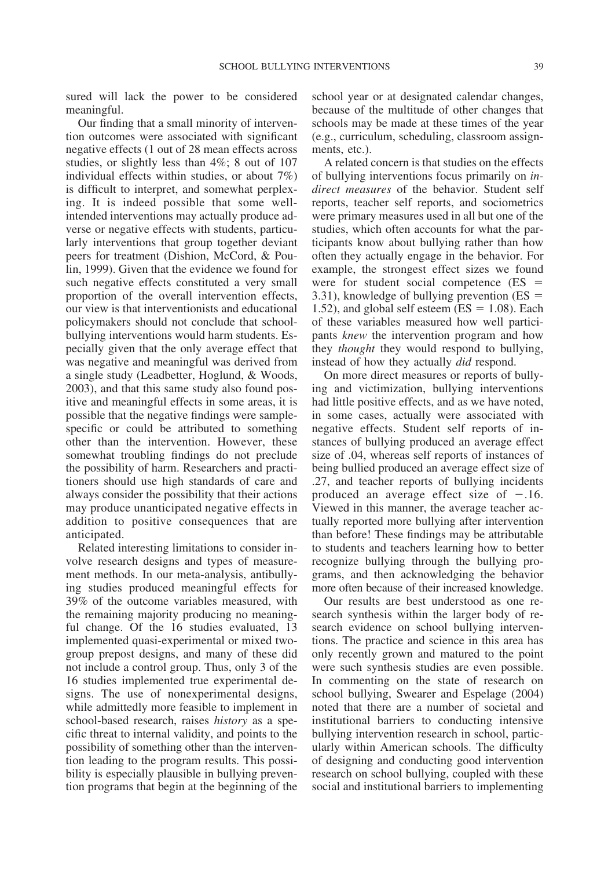sured will lack the power to be considered meaningful.

Our finding that a small minority of intervention outcomes were associated with significant negative effects (1 out of 28 mean effects across studies, or slightly less than 4%; 8 out of 107 individual effects within studies, or about 7%) is difficult to interpret, and somewhat perplexing. It is indeed possible that some wellintended interventions may actually produce adverse or negative effects with students, particularly interventions that group together deviant peers for treatment (Dishion, McCord, & Poulin, 1999). Given that the evidence we found for such negative effects constituted a very small proportion of the overall intervention effects, our view is that interventionists and educational policymakers should not conclude that schoolbullying interventions would harm students. Especially given that the only average effect that was negative and meaningful was derived from a single study (Leadbetter, Hoglund, & Woods, 2003), and that this same study also found positive and meaningful effects in some areas, it is possible that the negative findings were samplespecific or could be attributed to something other than the intervention. However, these somewhat troubling findings do not preclude the possibility of harm. Researchers and practitioners should use high standards of care and always consider the possibility that their actions may produce unanticipated negative effects in addition to positive consequences that are anticipated.

Related interesting limitations to consider involve research designs and types of measurement methods. In our meta-analysis, antibullying studies produced meaningful effects for 39% of the outcome variables measured, with the remaining majority producing no meaningful change. Of the 16 studies evaluated, 13 implemented quasi-experimental or mixed twogroup prepost designs, and many of these did not include a control group. Thus, only 3 of the 16 studies implemented true experimental designs. The use of nonexperimental designs, while admittedly more feasible to implement in school-based research, raises *history* as a specific threat to internal validity, and points to the possibility of something other than the intervention leading to the program results. This possibility is especially plausible in bullying prevention programs that begin at the beginning of the

school year or at designated calendar changes, because of the multitude of other changes that schools may be made at these times of the year (e.g., curriculum, scheduling, classroom assignments, etc.).

A related concern is that studies on the effects of bullying interventions focus primarily on *indirect measures* of the behavior. Student self reports, teacher self reports, and sociometrics were primary measures used in all but one of the studies, which often accounts for what the participants know about bullying rather than how often they actually engage in the behavior. For example, the strongest effect sizes we found were for student social competence  $(ES =$  $3.31$ ), knowledge of bullying prevention (ES = 1.52), and global self esteem  $(ES = 1.08)$ . Each of these variables measured how well participants *knew* the intervention program and how they *thought* they would respond to bullying, instead of how they actually *did* respond.

On more direct measures or reports of bullying and victimization, bullying interventions had little positive effects, and as we have noted, in some cases, actually were associated with negative effects. Student self reports of instances of bullying produced an average effect size of .04, whereas self reports of instances of being bullied produced an average effect size of .27, and teacher reports of bullying incidents produced an average effect size of  $-.16$ . Viewed in this manner, the average teacher actually reported more bullying after intervention than before! These findings may be attributable to students and teachers learning how to better recognize bullying through the bullying programs, and then acknowledging the behavior more often because of their increased knowledge.

Our results are best understood as one research synthesis within the larger body of research evidence on school bullying interventions. The practice and science in this area has only recently grown and matured to the point were such synthesis studies are even possible. In commenting on the state of research on school bullying, Swearer and Espelage (2004) noted that there are a number of societal and institutional barriers to conducting intensive bullying intervention research in school, particularly within American schools. The difficulty of designing and conducting good intervention research on school bullying, coupled with these social and institutional barriers to implementing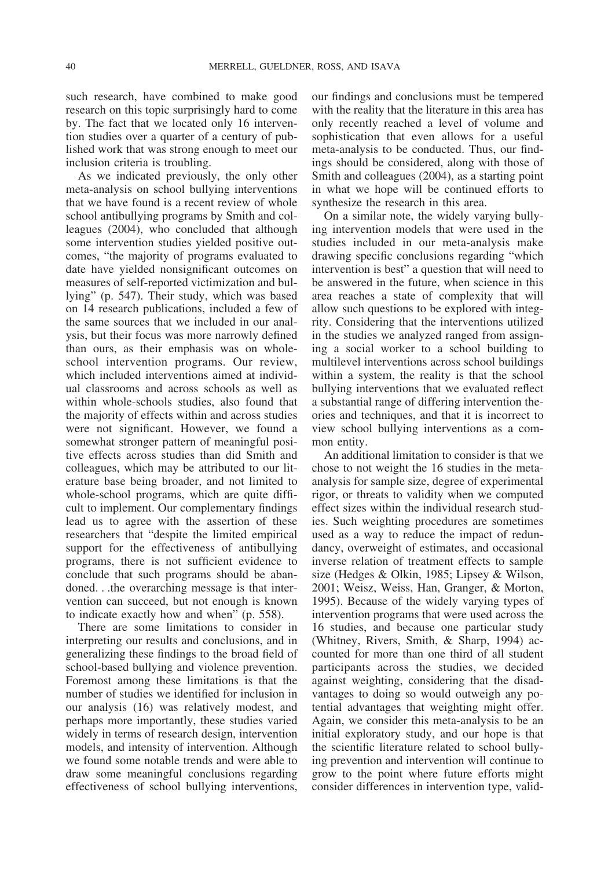such research, have combined to make good research on this topic surprisingly hard to come by. The fact that we located only 16 intervention studies over a quarter of a century of published work that was strong enough to meet our inclusion criteria is troubling.

As we indicated previously, the only other meta-analysis on school bullying interventions that we have found is a recent review of whole school antibullying programs by Smith and colleagues (2004), who concluded that although some intervention studies yielded positive outcomes, "the majority of programs evaluated to date have yielded nonsignificant outcomes on measures of self-reported victimization and bullying" (p. 547). Their study, which was based on 14 research publications, included a few of the same sources that we included in our analysis, but their focus was more narrowly defined than ours, as their emphasis was on wholeschool intervention programs. Our review, which included interventions aimed at individual classrooms and across schools as well as within whole-schools studies, also found that the majority of effects within and across studies were not significant. However, we found a somewhat stronger pattern of meaningful positive effects across studies than did Smith and colleagues, which may be attributed to our literature base being broader, and not limited to whole-school programs, which are quite difficult to implement. Our complementary findings lead us to agree with the assertion of these researchers that "despite the limited empirical support for the effectiveness of antibullying programs, there is not sufficient evidence to conclude that such programs should be abandoned. . .the overarching message is that intervention can succeed, but not enough is known to indicate exactly how and when" (p. 558).

There are some limitations to consider in interpreting our results and conclusions, and in generalizing these findings to the broad field of school-based bullying and violence prevention. Foremost among these limitations is that the number of studies we identified for inclusion in our analysis (16) was relatively modest, and perhaps more importantly, these studies varied widely in terms of research design, intervention models, and intensity of intervention. Although we found some notable trends and were able to draw some meaningful conclusions regarding effectiveness of school bullying interventions,

our findings and conclusions must be tempered with the reality that the literature in this area has only recently reached a level of volume and sophistication that even allows for a useful meta-analysis to be conducted. Thus, our findings should be considered, along with those of Smith and colleagues (2004), as a starting point in what we hope will be continued efforts to synthesize the research in this area.

On a similar note, the widely varying bullying intervention models that were used in the studies included in our meta-analysis make drawing specific conclusions regarding "which intervention is best" a question that will need to be answered in the future, when science in this area reaches a state of complexity that will allow such questions to be explored with integrity. Considering that the interventions utilized in the studies we analyzed ranged from assigning a social worker to a school building to multilevel interventions across school buildings within a system, the reality is that the school bullying interventions that we evaluated reflect a substantial range of differing intervention theories and techniques, and that it is incorrect to view school bullying interventions as a common entity.

An additional limitation to consider is that we chose to not weight the 16 studies in the metaanalysis for sample size, degree of experimental rigor, or threats to validity when we computed effect sizes within the individual research studies. Such weighting procedures are sometimes used as a way to reduce the impact of redundancy, overweight of estimates, and occasional inverse relation of treatment effects to sample size (Hedges & Olkin, 1985; Lipsey & Wilson, 2001; Weisz, Weiss, Han, Granger, & Morton, 1995). Because of the widely varying types of intervention programs that were used across the 16 studies, and because one particular study (Whitney, Rivers, Smith, & Sharp, 1994) accounted for more than one third of all student participants across the studies, we decided against weighting, considering that the disadvantages to doing so would outweigh any potential advantages that weighting might offer. Again, we consider this meta-analysis to be an initial exploratory study, and our hope is that the scientific literature related to school bullying prevention and intervention will continue to grow to the point where future efforts might consider differences in intervention type, valid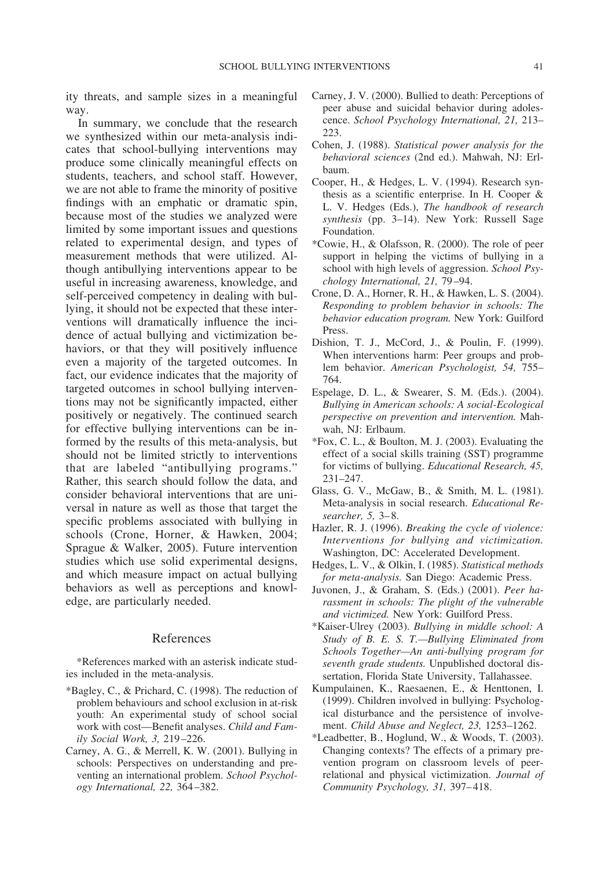ity threats, and sample sizes in a meaningful way.

In summary, we conclude that the research we synthesized within our meta-analysis indicates that school-bullying interventions may produce some clinically meaningful effects on students, teachers, and school staff. However, we are not able to frame the minority of positive findings with an emphatic or dramatic spin, because most of the studies we analyzed were limited by some important issues and questions related to experimental design, and types of measurement methods that were utilized. Although antibullying interventions appear to be useful in increasing awareness, knowledge, and self-perceived competency in dealing with bullying, it should not be expected that these interventions will dramatically influence the incidence of actual bullying and victimization behaviors, or that they will positively influence even a majority of the targeted outcomes. In fact, our evidence indicates that the majority of targeted outcomes in school bullying interventions may not be significantly impacted, either positively or negatively. The continued search for effective bullying interventions can be informed by the results of this meta-analysis, but should not be limited strictly to interventions that are labeled "antibullying programs." Rather, this search should follow the data, and consider behavioral interventions that are universal in nature as well as those that target the specific problems associated with bullying in schools (Crone, Horner, & Hawken, 2004; Sprague & Walker, 2005). Future intervention studies which use solid experimental designs, and which measure impact on actual bullying behaviors as well as perceptions and knowledge, are particularly needed.

#### References

\*References marked with an asterisk indicate studies included in the meta-analysis.

- \*Bagley, C., & Prichard, C. (1998). The reduction of problem behaviours and school exclusion in at-risk youth: An experimental study of school social work with cost—Benefit analyses. *Child and Family Social Work, 3,* 219 –226.
- Carney, A. G., & Merrell, K. W. (2001). Bullying in schools: Perspectives on understanding and preventing an international problem. *School Psychology International, 22,* 364 –382.
- Carney, J. V. (2000). Bullied to death: Perceptions of peer abuse and suicidal behavior during adolescence. *School Psychology International, 21,* 213– 223.
- Cohen, J. (1988). *Statistical power analysis for the behavioral sciences* (2nd ed.). Mahwah, NJ: Erlbaum.
- Cooper, H., & Hedges, L. V. (1994). Research synthesis as a scientific enterprise. In H. Cooper & L. V. Hedges (Eds.), *The handbook of research synthesis* (pp. 3–14). New York: Russell Sage Foundation.
- \*Cowie, H., & Olafsson, R. (2000). The role of peer support in helping the victims of bullying in a school with high levels of aggression. *School Psychology International, 21,* 79 –94.
- Crone, D. A., Horner, R. H., & Hawken, L. S. (2004). *Responding to problem behavior in schools: The behavior education program.* New York: Guilford Press.
- Dishion, T. J., McCord, J., & Poulin, F. (1999). When interventions harm: Peer groups and problem behavior. *American Psychologist, 54,* 755– 764.
- Espelage, D. L., & Swearer, S. M. (Eds.). (2004). *Bullying in American schools: A social-Ecological perspective on prevention and intervention.* Mahwah, NJ: Erlbaum.
- \*Fox, C. L., & Boulton, M. J. (2003). Evaluating the effect of a social skills training (SST) programme for victims of bullying. *Educational Research, 45,* 231–247.
- Glass, G. V., McGaw, B., & Smith, M. L. (1981). Meta-analysis in social research. *Educational Researcher, 5,* 3– 8.
- Hazler, R. J. (1996). *Breaking the cycle of violence: Interventions for bullying and victimization.* Washington, DC: Accelerated Development.
- Hedges, L. V., & Olkin, I. (1985). *Statistical methods for meta-analysis.* San Diego: Academic Press.
- Juvonen, J., & Graham, S. (Eds.) (2001). *Peer harassment in schools: The plight of the vulnerable and victimized.* New York: Guilford Press.
- \*Kaiser-Ulrey (2003). *Bullying in middle school: A Study of B. E. S. T.—Bullying Eliminated from Schools Together—An anti-bullying program for seventh grade students.* Unpublished doctoral dissertation, Florida State University, Tallahassee.
- Kumpulainen, K., Raesaenen, E., & Henttonen, I. (1999). Children involved in bullying: Psychological disturbance and the persistence of involvement. *Child Abuse and Neglect, 23,* 1253–1262.
- \*Leadbetter, B., Hoglund, W., & Woods, T. (2003). Changing contexts? The effects of a primary prevention program on classroom levels of peerrelational and physical victimization. *Journal of Community Psychology, 31,* 397– 418.